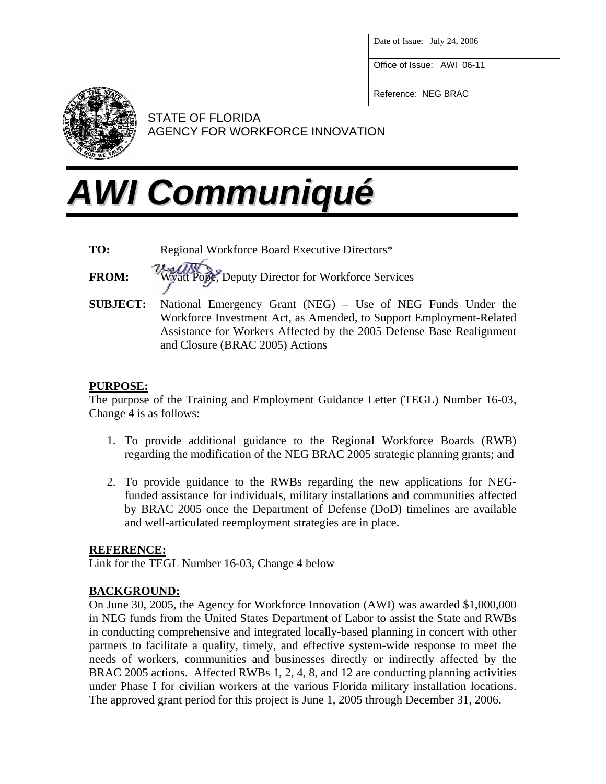Date of Issue: July 24, 2006

Office of Issue: AWI 06-11

Reference: NEG BRAC



STATE OF FLORIDA AGENCY FOR WORKFORCE INNOVATION

# *AWI Communiqué*

- **TO:** Regional Workforce Board Executive Directors\*
- 

**FROM:** Wyatt Pope, Deputy Director for Workforce Services

**SUBJECT:** National Emergency Grant (NEG) – Use of NEG Funds Under the Workforce Investment Act, as Amended, to Support Employment-Related Assistance for Workers Affected by the 2005 Defense Base Realignment and Closure (BRAC 2005) Actions

## **PURPOSE:**

The purpose of the Training and Employment Guidance Letter (TEGL) Number 16-03, Change 4 is as follows:

- 1. To provide additional guidance to the Regional Workforce Boards (RWB) regarding the modification of the NEG BRAC 2005 strategic planning grants; and
- 2. To provide guidance to the RWBs regarding the new applications for NEGfunded assistance for individuals, military installations and communities affected by BRAC 2005 once the Department of Defense (DoD) timelines are available and well-articulated reemployment strategies are in place.

## **REFERENCE:**

Link for the TEGL Number 16-03, Change 4 below

## **BACKGROUND:**

On June 30, 2005, the Agency for Workforce Innovation (AWI) was awarded \$1,000,000 in NEG funds from the United States Department of Labor to assist the State and RWBs in conducting comprehensive and integrated locally-based planning in concert with other partners to facilitate a quality, timely, and effective system-wide response to meet the needs of workers, communities and businesses directly or indirectly affected by the BRAC 2005 actions. Affected RWBs 1, 2, 4, 8, and 12 are conducting planning activities under Phase I for civilian workers at the various Florida military installation locations. The approved grant period for this project is June 1, 2005 through December 31, 2006.